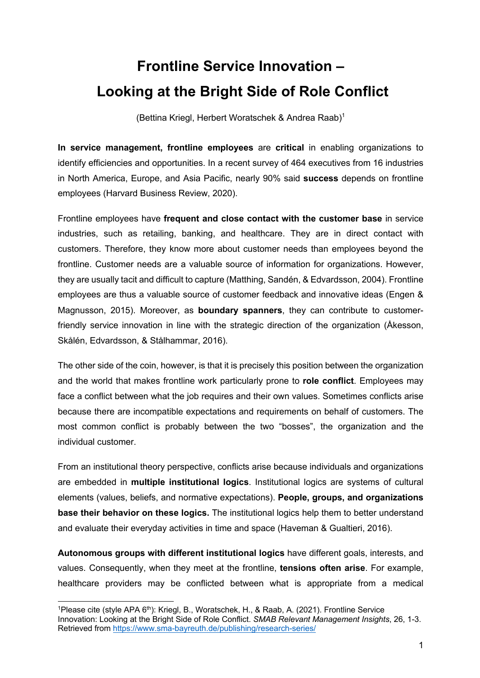## **Frontline Service Innovation – Looking at the Bright Side of Role Conflict**

(Bettina Kriegl, Herbert Woratschek & Andrea Raab) 1

**In service management, frontline employees** are **critical** in enabling organizations to identify efficiencies and opportunities. In a recent survey of 464 executives from 16 industries in North America, Europe, and Asia Pacific, nearly 90% said **success** depends on frontline employees (Harvard Business Review, 2020).

Frontline employees have **frequent and close contact with the customer base** in service industries, such as retailing, banking, and healthcare. They are in direct contact with customers. Therefore, they know more about customer needs than employees beyond the frontline. Customer needs are a valuable source of information for organizations. However, they are usually tacit and difficult to capture (Matthing, Sandén, & Edvardsson, 2004). Frontline employees are thus a valuable source of customer feedback and innovative ideas (Engen & Magnusson, 2015). Moreover, as **boundary spanners**, they can contribute to customerfriendly service innovation in line with the strategic direction of the organization (Åkesson, Skålén, Edvardsson, & Stålhammar, 2016).

The other side of the coin, however, is that it is precisely this position between the organization and the world that makes frontline work particularly prone to **role conflict**. Employees may face a conflict between what the job requires and their own values. Sometimes conflicts arise because there are incompatible expectations and requirements on behalf of customers. The most common conflict is probably between the two "bosses", the organization and the individual customer.

From an institutional theory perspective, conflicts arise because individuals and organizations are embedded in **multiple institutional logics**. Institutional logics are systems of cultural elements (values, beliefs, and normative expectations). **People, groups, and organizations base their behavior on these logics.** The institutional logics help them to better understand and evaluate their everyday activities in time and space (Haveman & Gualtieri, 2016).

**Autonomous groups with different institutional logics** have different goals, interests, and values. Consequently, when they meet at the frontline, **tensions often arise**. For example, healthcare providers may be conflicted between what is appropriate from a medical

<sup>&</sup>lt;sup>1</sup>Please cite (style APA 6<sup>th</sup>): Kriegl, B., Woratschek, H., & Raab, A. (2021). Frontline Service Innovation: Looking at the Bright Side of Role Conflict. *SMAB Relevant Management Insights*, 26, 1-3. Retrieved from https://www.sma-bayreuth.de/publishing/research-series/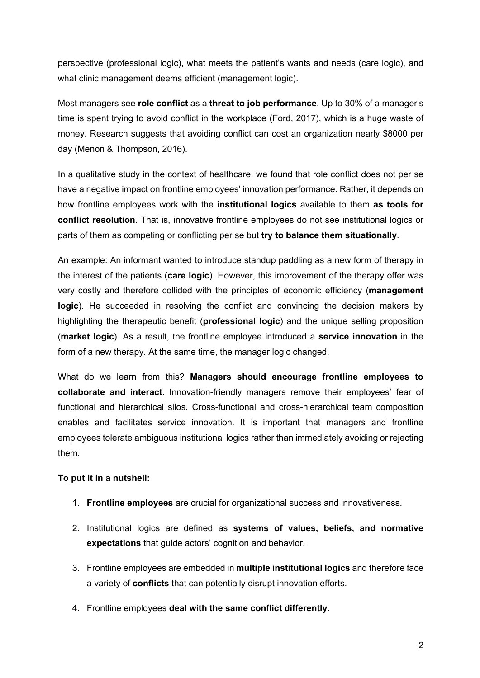perspective (professional logic), what meets the patient's wants and needs (care logic), and what clinic management deems efficient (management logic).

Most managers see **role conflict** as a **threat to job performance**. Up to 30% of a manager's time is spent trying to avoid conflict in the workplace (Ford, 2017), which is a huge waste of money. Research suggests that avoiding conflict can cost an organization nearly \$8000 per day (Menon & Thompson, 2016).

In a qualitative study in the context of healthcare, we found that role conflict does not per se have a negative impact on frontline employees' innovation performance. Rather, it depends on how frontline employees work with the **institutional logics** available to them **as tools for conflict resolution**. That is, innovative frontline employees do not see institutional logics or parts of them as competing or conflicting per se but **try to balance them situationally**.

An example: An informant wanted to introduce standup paddling as a new form of therapy in the interest of the patients (**care logic**). However, this improvement of the therapy offer was very costly and therefore collided with the principles of economic efficiency (**management logic**). He succeeded in resolving the conflict and convincing the decision makers by highlighting the therapeutic benefit (**professional logic**) and the unique selling proposition (**market logic**). As a result, the frontline employee introduced a **service innovation** in the form of a new therapy. At the same time, the manager logic changed.

What do we learn from this? **Managers should encourage frontline employees to collaborate and interact**. Innovation-friendly managers remove their employees' fear of functional and hierarchical silos. Cross-functional and cross-hierarchical team composition enables and facilitates service innovation. It is important that managers and frontline employees tolerate ambiguous institutional logics rather than immediately avoiding or rejecting them.

## **To put it in a nutshell:**

- 1. **Frontline employees** are crucial for organizational success and innovativeness.
- 2. Institutional logics are defined as **systems of values, beliefs, and normative expectations** that guide actors' cognition and behavior.
- 3. Frontline employees are embedded in **multiple institutional logics** and therefore face a variety of **conflicts** that can potentially disrupt innovation efforts.
- 4. Frontline employees **deal with the same conflict differently**.